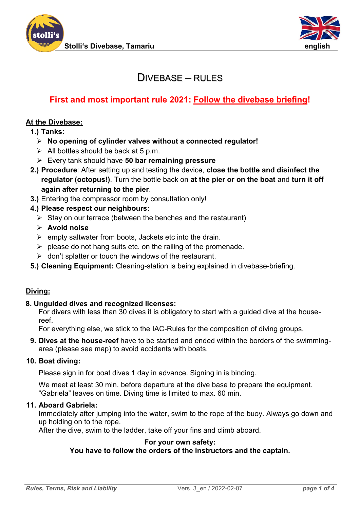



## $D$ IVEBASE – RULES

## **First and most important rule 2021: Follow the divebase briefing!**

#### **At the Divebase:**

**1.) Tanks:**

- ➢ **No opening of cylinder valves without a connected regulator!**
- $\triangleright$  All bottles should be back at 5 p.m.
- ➢ Every tank should have **50 bar remaining pressure**
- **2.) Procedure**: After setting up and testing the device, **close the bottle and disinfect the regulator (octopus!)**. Turn the bottle back on **at the pier or on the boat** and **turn it off again after returning to the pier**.
- **3.)** Entering the compressor room by consultation only!
- **4.) Please respect our neighbours:** 
	- $\triangleright$  Stay on our terrace (between the benches and the restaurant)
	- ➢ **Avoid noise**
	- $\triangleright$  empty saltwater from boots, Jackets etc into the drain.
	- $\triangleright$  please do not hang suits etc. on the railing of the promenade.
	- $\triangleright$  don't splatter or touch the windows of the restaurant.
- **5.) Cleaning Equipment:** Cleaning-station is being explained in divebase-briefing.

#### **Diving:**

#### **8. Unguided dives and recognized licenses:**

For divers with less than 30 dives it is obligatory to start with a guided dive at the housereef.

For everything else, we stick to the IAC-Rules for the composition of diving groups.

**9. Dives at the house-reef** have to be started and ended within the borders of the swimmingarea (please see map) to avoid accidents with boats.

#### **10. Boat diving:**

Please sign in for boat dives 1 day in advance. Signing in is binding.

We meet at least 30 min. before departure at the dive base to prepare the equipment. "Gabriela" leaves on time. Diving time is limited to max. 60 min.

#### **11. Aboard Gabriela:**

Immediately after jumping into the water, swim to the rope of the buoy. Always go down and up holding on to the rope.

After the dive, swim to the ladder, take off your fins and climb aboard.

#### **For your own safety:**

**You have to follow the orders of the instructors and the captain.**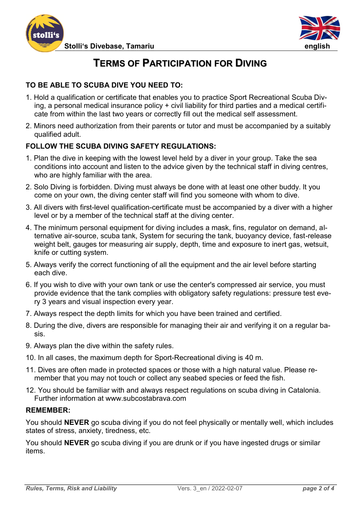



# **TERMS OF PARTICIPATION FOR DIVING**

## **TO BE ABLE TO SCUBA DIVE YOU NEED TO:**

- 1. Hold a qualification or certificate that enables you to practice Sport Recreational Scuba Diving, a personal medical insurance policy + civil liability for third parties and a medical certificate from within the last two years or correctly fill out the medical self assessment.
- 2. Minors need authorization from their parents or tutor and must be accompanied by a suitably qualified adult.

#### **FOLLOW THE SCUBA DIVING SAFETY REGULATIONS:**

- 1. Plan the dive in keeping with the lowest level held by a diver in your group. Take the sea conditions into account and listen to the advice given by the technical staff in diving centres, who are highly familiar with the area.
- 2. Solo Diving is forbidden. Diving must always be done with at least one other buddy. lt you come on your own, the diving center staff will find you someone with whom to dive.
- 3. All divers with first-level qualification-certificate must be accompanied by a diver with a higher level or by a member of the technical staff at the diving center.
- 4. The minimum personal equipment for diving includes a mask, fins, regulator on demand, alternative air-source, scuba tank, System for securing the tank, buoyancy device, fast-release weight belt, gauges tor measuring air supply, depth, time and exposure to inert gas, wetsuit, knife or cutting system.
- 5. Always verify the correct functioning of all the equipment and the air level before starting each dive.
- 6. If you wish to dive with your own tank or use the center's compressed air service, you must provide evidence that the tank complies with obligatory safety regulations: pressure test every 3 years and visual inspection every year.
- 7. Always respect the depth limits for which you have been trained and certified.
- 8. During the dive, divers are responsible for managing their air and verifying it on a regular basis.
- 9. Always plan the dive within the safety rules.
- 10. In all cases, the maximum depth for Sport-Recreational diving is 40 m.
- 11. Dives are often made in protected spaces or those with a high natural value. Please remember that you may not touch or collect any seabed species or feed the fish.
- 12. You should be familiar with and always respect regulations on scuba diving in Catalonia. Further information at www.subcostabrava.com

#### **REMEMBER:**

You should **NEVER** go scuba diving if you do not feel physically or mentally well, which includes states of stress, anxiety, tiredness, etc.

You should **NEVER** go scuba diving if you are drunk or if you have ingested drugs or similar items.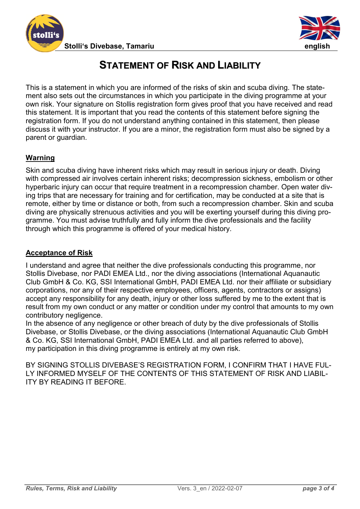



# **STATEMENT OF RISK AND LIABILITY**

This is a statement in which you are informed of the risks of skin and scuba diving. The statement also sets out the circumstances in which you participate in the diving programme at your own risk. Your signature on Stollis registration form gives proof that you have received and read this statement. It is important that you read the contents of this statement before signing the registration form. If you do not understand anything contained in this statement, then please discuss it with your instructor. If you are a minor, the registration form must also be signed by a parent or guardian.

### **Warning**

Skin and scuba diving have inherent risks which may result in serious injury or death. Diving with compressed air involves certain inherent risks; decompression sickness, embolism or other hyperbaric injury can occur that require treatment in a recompression chamber. Open water diving trips that are necessary for training and for certification, may be conducted at a site that is remote, either by time or distance or both, from such a recompression chamber. Skin and scuba diving are physically strenuous activities and you will be exerting yourself during this diving programme. You must advise truthfully and fully inform the dive professionals and the facility through which this programme is offered of your medical history.

### **Acceptance of Risk**

I understand and agree that neither the dive professionals conducting this programme, nor Stollis Divebase, nor PADI EMEA Ltd., nor the diving associations (International Aquanautic Club GmbH & Co. KG, SSI International GmbH, PADI EMEA Ltd. nor their affiliate or subsidiary corporations, nor any of their respective employees, officers, agents, contractors or assigns) accept any responsibility for any death, injury or other loss suffered by me to the extent that is result from my own conduct or any matter or condition under my control that amounts to my own contributory negligence.

In the absence of any negligence or other breach of duty by the dive professionals of Stollis Divebase, or Stollis Divebase, or the diving associations (International Aquanautic Club GmbH & Co. KG, SSI International GmbH, PADI EMEA Ltd. and all parties referred to above), my participation in this diving programme is entirely at my own risk.

BY SIGNING STOLLIS DIVEBASE'S REGISTRATION FORM, I CONFIRM THAT I HAVE FUL-LY INFORMED MYSELF OF THE CONTENTS OF THIS STATEMENT OF RISK AND LIABIL-ITY BY READING IT BEFORE.